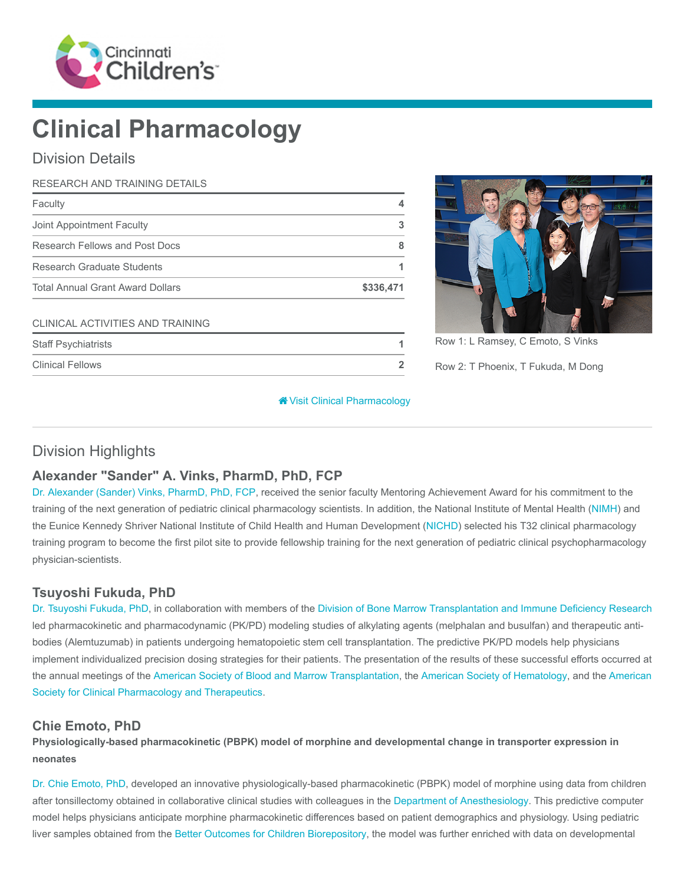

# Clinical Pharmacology

# Division Details

| RESEARCH AND TRAINING DETAILS           |           |
|-----------------------------------------|-----------|
| Faculty                                 | 4         |
| Joint Appointment Faculty               | 3         |
| Research Fellows and Post Docs          | 8         |
| <b>Research Graduate Students</b>       |           |
| <b>Total Annual Grant Award Dollars</b> | \$336,471 |
| CLINICAL ACTIVITIES AND TRAINING        |           |
| <b>Staff Psychiatrists</b>              |           |
| <b>Clinical Fellows</b>                 |           |



Row 1: L Ramsey, C Emoto, S Vinks

Row 2: T Phoenix, T Fukuda, M Dong

[Visit Clinical Pharmacology](https://www.cincinnatichildrens.org/research/divisions/c/pharmacology)

# Division Highlights

## Alexander "Sander" A. Vinks, PharmD, PhD, FCP

[Dr. Alexander \(Sander\) Vinks, PharmD, PhD, FCP,](https://www.cincinnatichildrens.org/bio/v/sander-vinks) received the senior faculty Mentoring Achievement Award for his commitment to the training of the next generation of pediatric clinical pharmacology scientists. In addition, the National Institute of Mental Health ([NIMH](https://www.nimh.nih.gov/index.shtml)) and the Eunice Kennedy Shriver National Institute of Child Health and Human Development ([NICHD](https://nichd.nih.gov/Pages/index.aspx)) selected his T32 clinical pharmacology training program to become the first pilot site to provide fellowship training for the next generation of pediatric clinical psychopharmacology physician-scientists.

## Tsuyoshi Fukuda, PhD

[Dr. Tsuyoshi Fukuda, PhD](https://www.cincinnatichildrens.org/bio/f/tsuyoshi-fukuda), in collaboration with members of the [Division of Bone Marrow Transplantation and Immune Deficiency Research](https://www.cincinnatichildrens.org/research/divisions/b/bone-marrow) led pharmacokinetic and pharmacodynamic (PK/PD) modeling studies of alkylating agents (melphalan and busulfan) and therapeutic antibodies (Alemtuzumab) in patients undergoing hematopoietic stem cell transplantation. The predictive PK/PD models help physicians implement individualized precision dosing strategies for their patients. The presentation of the results of these successful efforts occurred at [the annual meetings of the A](http://www.ascpt.org/)[merican Society of Blood and Marrow Transplantation](http://asbmt.org/)[, the](http://www.ascpt.org/) [American Society of Hematology](http://www.hematology.org/)[, and the American](http://www.ascpt.org/) Society for Clinical Pharmacology and Therapeutics.

#### Chie Emoto, PhD

Physiologically-based pharmacokinetic (PBPK) model of morphine and developmental change in transporter expression in neonates

[Dr. Chie Emoto, PhD](https://www.cincinnatichildrens.org/bio/e/chie-emoto), developed an innovative physiologically-based pharmacokinetic (PBPK) model of morphine using data from children after tonsillectomy obtained in collaborative clinical studies with colleagues in the [Department of Anesthesiology](https://www.cincinnatichildrens.org/research/divisions/a/anesthesia). This predictive computer model helps physicians anticipate morphine pharmacokinetic differences based on patient demographics and physiology. Using pediatric liver samples obtained from the [Better Outcomes for Children Biorepository](https://www.cincinnatichildrens.org/research/cores/biobank), the model was further enriched with data on developmental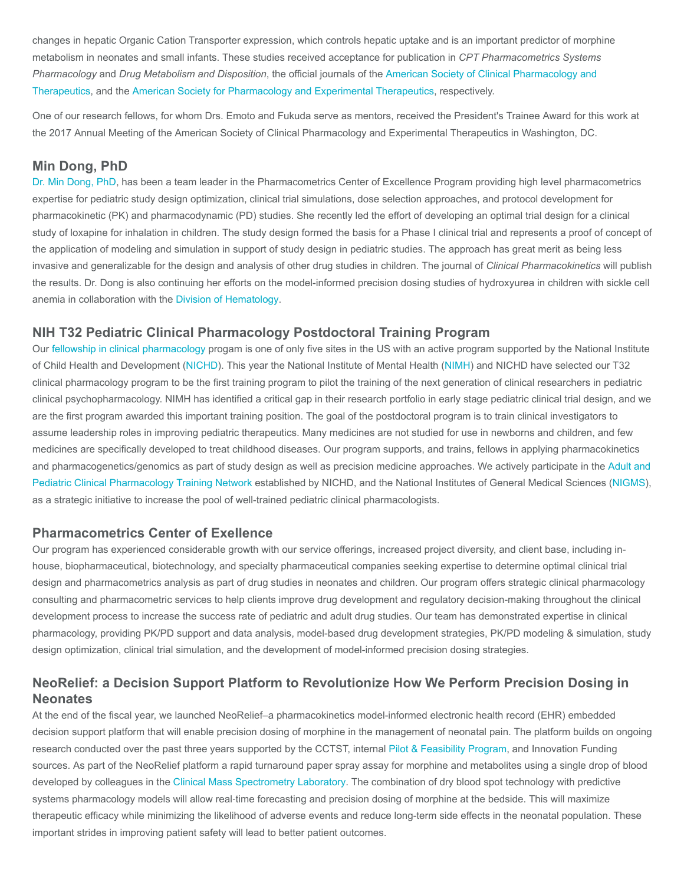changes in hepatic Organic Cation Transporter expression, which controls hepatic uptake and is an important predictor of morphine metabolism in neonates and small infants. These studies received acceptance for publication in CPT Pharmacometrics Systems Pharmacology and Drug Metabolism and Disposition, the official journals of the American Society of Clinical Pharmacology and [Therapeutics, and the American Society for Pharmacology and Experimental Therapeutics, respectively.](http://www.ascpt.org/)

One of our research fellows, for whom Drs. Emoto and Fukuda serve as mentors, received the President's Trainee Award for this work at the 2017 Annual Meeting of the American Society of Clinical Pharmacology and Experimental Therapeutics in Washington, DC.

#### Min Dong, PhD

[Dr. Min Dong, PhD](https://www.cincinnatichildrens.org/bio/d/min-dong), has been a team leader in the Pharmacometrics Center of Excellence Program providing high level pharmacometrics expertise for pediatric study design optimization, clinical trial simulations, dose selection approaches, and protocol development for pharmacokinetic (PK) and pharmacodynamic (PD) studies. She recently led the effort of developing an optimal trial design for a clinical study of loxapine for inhalation in children. The study design formed the basis for a Phase I clinical trial and represents a proof of concept of the application of modeling and simulation in support of study design in pediatric studies. The approach has great merit as being less invasive and generalizable for the design and analysis of other drug studies in children. The journal of Clinical Pharmacokinetics will publish the results. Dr. Dong is also continuing her efforts on the model-informed precision dosing studies of hydroxyurea in children with sickle cell anemia in collaboration with the [Division of Hematology.](https://www.cincinnatichildrens.org/research/divisions/h/hematology)

#### NIH T32 Pediatric Clinical Pharmacology Postdoctoral Training Program

Our [fellowship in clinical pharmacology](https://www.cincinnatichildrens.org/education/clinical/fellowship/pharmacology) progam is one of only five sites in the US with an active program supported by the National Institute of Child Health and Development [\(NICHD](https://nichd.nih.gov/Pages/index.aspx)). This year the National Institute of Mental Health ([NIMH](https://www.nimh.nih.gov/index.shtml)) and NICHD have selected our T32 clinical pharmacology program to be the first training program to pilot the training of the next generation of clinical researchers in pediatric clinical psychopharmacology. NIMH has identified a critical gap in their research portfolio in early stage pediatric clinical trial design, and we are the first program awarded this important training position. The goal of the postdoctoral program is to train clinical investigators to assume leadership roles in improving pediatric therapeutics. Many medicines are not studied for use in newborns and children, and few medicines are specifically developed to treat childhood diseases. Our program supports, and trains, fellows in applying pharmacokinetics [and pharmacogenetics/genomics as part of study design as well as precision medicine approaches. We actively participate in the Adult and](https://www.nichd.nih.gov/research/supported/Pages/pcdptn.aspx) Pediatric Clinical Pharmacology Training Network established by NICHD, and the National Institutes of General Medical Sciences ([NIGMS\)](https://www.nigms.nih.gov/Pages/default.aspx), as a strategic initiative to increase the pool of well-trained pediatric clinical pharmacologists.

#### Pharmacometrics Center of Exellence

Our program has experienced considerable growth with our service offerings, increased project diversity, and client base, including inhouse, biopharmaceutical, biotechnology, and specialty pharmaceutical companies seeking expertise to determine optimal clinical trial design and pharmacometrics analysis as part of drug studies in neonates and children. Our program offers strategic clinical pharmacology consulting and pharmacometric services to help clients improve drug development and regulatory decision-making throughout the clinical development process to increase the success rate of pediatric and adult drug studies. Our team has demonstrated expertise in clinical pharmacology, providing PK/PD support and data analysis, model-based drug development strategies, PK/PD modeling & simulation, study design optimization, clinical trial simulation, and the development of model-informed precision dosing strategies.

# NeoRelief: a Decision Support Platform to Revolutionize How We Perform Precision Dosing in **Neonates**

At the end of the fiscal year, we launched NeoRelief–a pharmacokinetics model-informed electronic health record (EHR) embedded decision support platform that will enable precision dosing of morphine in the management of neonatal pain. The platform builds on ongoing research conducted over the past three years supported by the CCTST, internal [Pilot & Feasibility Program,](https://www.cincinnatichildrens.org/research/divisions/d/dhc/pilot-feasibility) and Innovation Funding sources. As part of the NeoRelief platform a rapid turnaround paper spray assay for morphine and metabolites using a single drop of blood developed by colleagues in the [Clinical Mass Spectrometry Laboratory.](https://www.cincinnatichildrens.org/research/divisions/p/pathology/spectrometry-lab) The combination of dry blood spot technology with predictive systems pharmacology models will allow real-time forecasting and precision dosing of morphine at the bedside. This will maximize therapeutic efficacy while minimizing the likelihood of adverse events and reduce long-term side effects in the neonatal population. These important strides in improving patient safety will lead to better patient outcomes.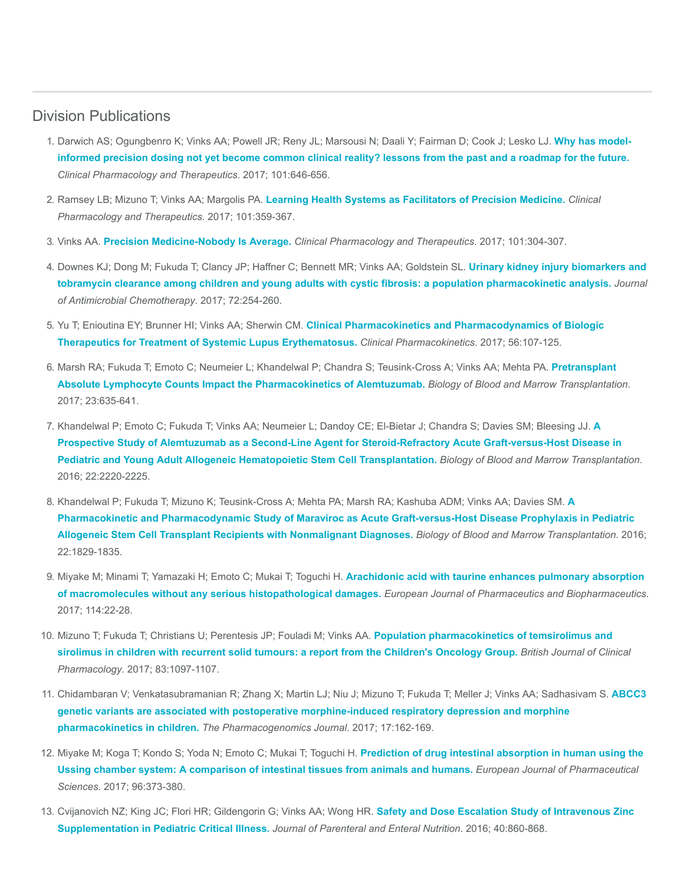#### Division Publications

- 1. [Darwich AS; Ogungbenro K; Vinks AA; Powell JR; Reny JL; Marsousi N; Daali Y; Fairman D; Cook J; Lesko LJ.](https://www.ncbi.nlm.nih.gov/pubmed/28182269) Why has modelinformed precision dosing not yet become common clinical reality? lessons from the past and a roadmap for the future. Clinical Pharmacology and Therapeutics. 2017; 101:646-656.
- 2. Ramsey LB; Mizuno T; Vinks AA; Margolis PA. [Learning Health Systems as Facilitators of Precision Medicine.](https://www.ncbi.nlm.nih.gov/pubmed/27984650) Clinical Pharmacology and Therapeutics. 2017; 101:359-367.
- 3. Vinks AA. [Precision Medicine-Nobody Is Average.](https://www.ncbi.nlm.nih.gov/pubmed/28194769) Clinical Pharmacology and Therapeutics. 2017; 101:304-307.
- 4. Downes KJ; Dong M; Fukuda T; Clancy JP; Haffner C; Bennett MR; Vinks AA; Goldstein SL. Urinary kidney injury biomarkers and [tobramycin clearance among children and young adults with cystic fibrosis: a population pharmacokinetic analysis.](https://www.ncbi.nlm.nih.gov/pubmed/27585963) Journal of Antimicrobial Chemotherapy. 2017; 72:254-260.
- 5. Yu T; Enioutina EY; Brunner HI; Vinks AA; Sherwin CM. Clinical Pharmacokinetics and Pharmacodynamics of Biologic [Therapeutics for Treatment of Systemic Lupus Erythematosus.](https://www.ncbi.nlm.nih.gov/pubmed/27384528) Clinical Pharmacokinetics. 2017; 56:107-125.
- 6. [Marsh RA; Fukuda T; Emoto C; Neumeier L; Khandelwal P; Chandra S; Teusink-Cross A; Vinks AA; Mehta PA.](https://www.ncbi.nlm.nih.gov/pubmed/28089878) Pretransplant Absolute Lymphocyte Counts Impact the Pharmacokinetics of Alemtuzumab. Biology of Blood and Marrow Transplantation. 2017; 23:635-641.
- 7. [Khandelwal P; Emoto C; Fukuda T; Vinks AA; Neumeier L; Dandoy CE; El-Bietar J; Chandra S; Davies SM; Bleesing JJ.](https://www.ncbi.nlm.nih.gov/pubmed/27664325) A Prospective Study of Alemtuzumab as a Second-Line Agent for Steroid-Refractory Acute Graft-versus-Host Disease in Pediatric and Young Adult Allogeneic Hematopoietic Stem Cell Transplantation. Biology of Blood and Marrow Transplantation. 2016; 22:2220-2225.
- 8. [Khandelwal P; Fukuda T; Mizuno K; Teusink-Cross A; Mehta PA; Marsh RA; Kashuba ADM; Vinks AA; Davies SM.](https://www.ncbi.nlm.nih.gov/pubmed/27498124) A Pharmacokinetic and Pharmacodynamic Study of Maraviroc as Acute Graft-versus-Host Disease Prophylaxis in Pediatric Allogeneic Stem Cell Transplant Recipients with Nonmalignant Diagnoses. Biology of Blood and Marrow Transplantation. 2016; 22:1829-1835.
- 9. [Miyake M; Minami T; Yamazaki H; Emoto C; Mukai T; Toguchi H.](https://www.ncbi.nlm.nih.gov/pubmed/28089914) Arachidonic acid with taurine enhances pulmonary absorption of macromolecules without any serious histopathological damages. European Journal of Pharmaceutics and Biopharmaceutics. 2017; 114:22-28.
- 10. Mizuno T; Fukuda T; Christians U; Perentesis JP; Fouladi M; Vinks AA. Population pharmacokinetics of temsirolimus and [sirolimus in children with recurrent solid tumours: a report from the Children's Oncology Group.](https://www.ncbi.nlm.nih.gov/pubmed/28000286) British Journal of Clinical Pharmacology. 2017; 83:1097-1107.
- 11. [Chidambaran V; Venkatasubramanian R; Zhang X; Martin LJ; Niu J; Mizuno T; Fukuda T; Meller J; Vinks AA; Sadhasivam S.](https://www.ncbi.nlm.nih.gov/pubmed/26810133) ABCC3 genetic variants are associated with postoperative morphine-induced respiratory depression and morphine pharmacokinetics in children. The Pharmacogenomics Journal. 2017; 17:162-169.
- 12. Miyake M; Koga T; Kondo S; Yoda N; Emoto C; Mukai T; Toguchi H. Prediction of drug intestinal absorption in human using the [Ussing chamber system: A comparison of intestinal tissues from animals and humans.](https://www.ncbi.nlm.nih.gov/pubmed/27721045) European Journal of Pharmaceutical Sciences. 2017; 96:373-380.
- 13. [Cvijanovich NZ; King JC; Flori HR; Gildengorin G; Vinks AA; Wong HR.](https://www.ncbi.nlm.nih.gov/pubmed/25700179) Safety and Dose Escalation Study of Intravenous Zinc Supplementation in Pediatric Critical Illness. Journal of Parenteral and Enteral Nutrition. 2016; 40:860-868.